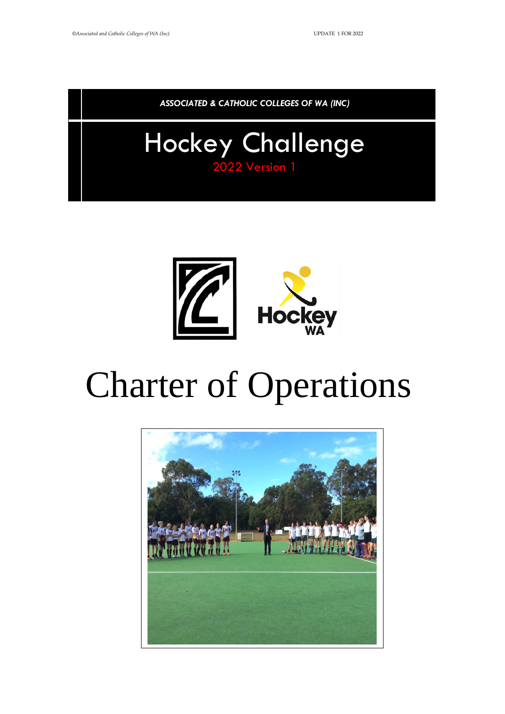*ASSOCIATED & CATHOLIC COLLEGES OF WA (INC)*

# Hockey Challenge 2022 Version 1



# Charter of Operations

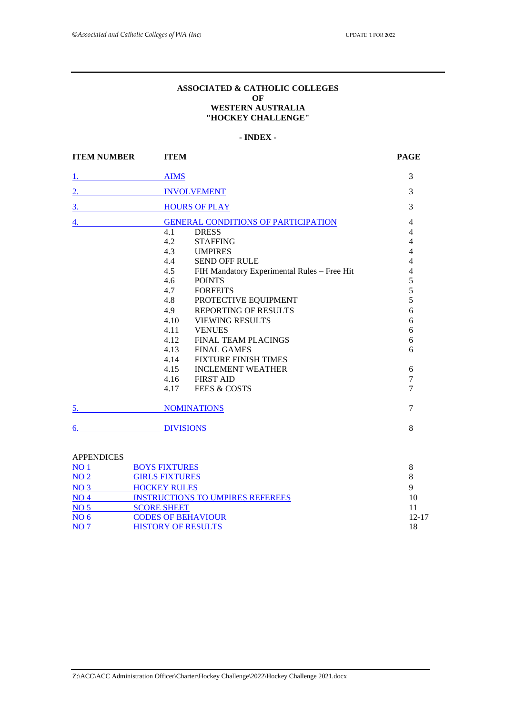#### **ASSOCIATED & CATHOLIC COLLEGES OF WESTERN AUSTRALIA "HOCKEY CHALLENGE"**

#### *0B***- INDEX -**

<span id="page-1-1"></span><span id="page-1-0"></span>

| <b>ITEM NUMBER</b> | <b>ITEM</b>                                        | <b>PAGE</b>              |
|--------------------|----------------------------------------------------|--------------------------|
|                    | <b>AIMS</b>                                        | 3                        |
| 2.                 | <b>INVOLVEMENT</b>                                 | 3                        |
| $\overline{3}$ .   | <b>HOURS OF PLAY</b>                               | 3                        |
| 4.                 | <b>GENERAL CONDITIONS OF PARTICIPATION</b>         | $\overline{4}$           |
|                    | 4.1<br><b>DRESS</b>                                | $\overline{\mathcal{L}}$ |
|                    | 4.2<br><b>STAFFING</b>                             | $\overline{4}$           |
|                    | 4.3<br><b>UMPIRES</b>                              | $\overline{4}$           |
|                    | 4.4<br><b>SEND OFF RULE</b>                        | $\overline{\mathbf{4}}$  |
|                    | 4.5<br>FIH Mandatory Experimental Rules - Free Hit | $\overline{4}$           |
|                    | 4.6<br><b>POINTS</b>                               | 5                        |
|                    | 4.7<br><b>FORFEITS</b>                             | $\overline{5}$           |
|                    | PROTECTIVE EQUIPMENT<br>4.8                        | $\overline{5}$           |
|                    | <b>REPORTING OF RESULTS</b><br>4.9                 | 6                        |
|                    | 4.10<br><b>VIEWING RESULTS</b>                     | 6                        |
|                    | 4.11<br><b>VENUES</b>                              | 6                        |
|                    | <b>FINAL TEAM PLACINGS</b><br>4.12                 | 6                        |
|                    | <b>FINAL GAMES</b><br>4.13                         | 6                        |
|                    | <b>FIXTURE FINISH TIMES</b><br>4.14                |                          |
|                    | <b>INCLEMENT WEATHER</b><br>4.15                   | 6                        |
|                    | <b>FIRST AID</b><br>4.16                           | $\overline{7}$           |
|                    | 4.17<br><b>FEES &amp; COSTS</b>                    | $\overline{7}$           |
| 5.                 | <b>NOMINATIONS</b>                                 | 7                        |
|                    | <b>DIVISIONS</b>                                   | 8                        |

| 111 1 <del>11</del> 11 12 10 10 |                                         |       |
|---------------------------------|-----------------------------------------|-------|
| NO <sub>1</sub>                 | <b>BOYS FIXTURES</b>                    |       |
| NO <sub>2</sub>                 | <b>GIRLS FIXTURES</b>                   |       |
| NO <sub>3</sub>                 | <b>HOCKEY RULES</b>                     |       |
| NO <sub>4</sub>                 | <b>INSTRUCTIONS TO UMPIRES REFEREES</b> | 10    |
| NO <sub>5</sub>                 | <b>SCORE SHEET</b>                      |       |
| NO <sub>6</sub>                 | <b>CODES OF BEHAVIOUR</b>               | 12-17 |
| NO <sub>7</sub>                 | <b>HISTORY OF RESULTS</b>               | 18    |
|                                 |                                         |       |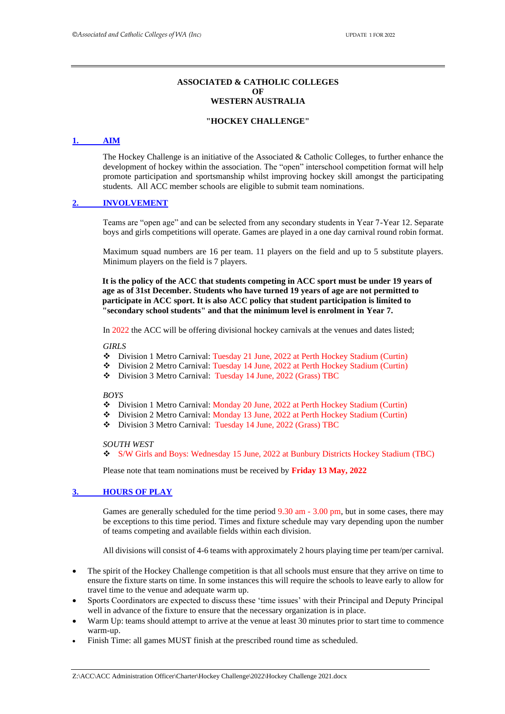#### **ASSOCIATED & CATHOLIC COLLEGES**   $\Omega$ **F WESTERN AUSTRALIA**

#### **"HOCKEY CHALLENGE"**

#### <span id="page-2-0"></span>*1BHU***1. [AIM](#page-1-0)***<sup>U</sup>*

The Hockey Challenge is an initiative of the Associated  $&$  Catholic Colleges, to further enhance the development of hockey within the association. The "open" interschool competition format will help promote participation and sportsmanship whilst improving hockey skill amongst the participating students. All ACC member schools are eligible to submit team nominations.

#### <span id="page-2-1"></span>2. **[INVOLVEMENT](#page-1-0)**

Teams are "open age" and can be selected from any secondary students in Year 7-Year 12. Separate boys and girls competitions will operate. Games are played in a one day carnival round robin format.

Maximum squad numbers are 16 per team. 11 players on the field and up to 5 substitute players. Minimum players on the field is 7 players.

**It is the policy of the ACC that students competing in ACC sport must be under 19 years of age as of 31st December. Students who have turned 19 years of age are not permitted to participate in ACC sport. It is also ACC policy that student participation is limited to "secondary school students" and that the minimum level is enrolment in Year 7.**

In 2022 the ACC will be offering divisional hockey carnivals at the venues and dates listed;

#### *GIRLS*

- ❖ Division 1 Metro Carnival: Tuesday 21 June, 2022 at Perth Hockey Stadium (Curtin)
- ❖ Division 2 Metro Carnival: Tuesday 14 June, 2022 at Perth Hockey Stadium (Curtin)
- ❖ Division 3 Metro Carnival: Tuesday 14 June, 2022 (Grass) TBC

#### *BOYS*

- ❖ Division 1 Metro Carnival: Monday 20 June, 2022 at Perth Hockey Stadium (Curtin)
- ❖ Division 2 Metro Carnival: Monday 13 June, 2022 at Perth Hockey Stadium (Curtin)
- ❖ Division 3 Metro Carnival: Tuesday 14 June, 2022 (Grass) TBC

#### *SOUTH WEST*

❖ S/W Girls and Boys: Wednesday 15 June, 2022 at Bunbury Districts Hockey Stadium (TBC)

Please note that team nominations must be received by **Friday 13 May, 2022**

#### <span id="page-2-2"></span>3. **[HOURS OF PLAY](#page-1-0)**

Games are generally scheduled for the time period 9.30 am - 3.00 pm, but in some cases, there may be exceptions to this time period. Times and fixture schedule may vary depending upon the number of teams competing and available fields within each division.

All divisions will consist of 4-6 teams with approximately 2 hours playing time per team/per carnival.

- The spirit of the Hockey Challenge competition is that all schools must ensure that they arrive on time to ensure the fixture starts on time. In some instances this will require the schools to leave early to allow for travel time to the venue and adequate warm up.
- Sports Coordinators are expected to discuss these 'time issues' with their Principal and Deputy Principal well in advance of the fixture to ensure that the necessary organization is in place.
- Warm Up: teams should attempt to arrive at the venue at least 30 minutes prior to start time to commence warm-up.
- Finish Time: all games MUST finish at the prescribed round time as scheduled.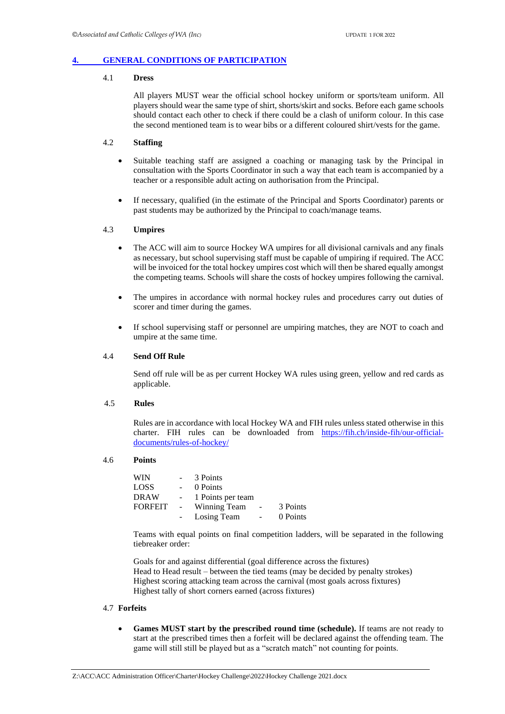#### <span id="page-3-0"></span>**4. [GENERAL CONDITIONS OF PARTICIPATION](#page-1-0)**

#### 4.1 **Dress**

All players MUST wear the official school hockey uniform or sports/team uniform. All players should wear the same type of shirt, shorts/skirt and socks. Before each game schools should contact each other to check if there could be a clash of uniform colour. In this case the second mentioned team is to wear bibs or a different coloured shirt/vests for the game.

#### 4.2 **Staffing**

- Suitable teaching staff are assigned a coaching or managing task by the Principal in consultation with the Sports Coordinator in such a way that each team is accompanied by a teacher or a responsible adult acting on authorisation from the Principal.
- If necessary, qualified (in the estimate of the Principal and Sports Coordinator) parents or past students may be authorized by the Principal to coach/manage teams.

#### 4.3 **Umpires**

- The ACC will aim to source Hockey WA umpires for all divisional carnivals and any finals as necessary, but school supervising staff must be capable of umpiring if required. The ACC will be invoiced for the total hockey umpires cost which will then be shared equally amongst the competing teams. Schools will share the costs of hockey umpires following the carnival.
- The umpires in accordance with normal hockey rules and procedures carry out duties of scorer and timer during the games.
- If school supervising staff or personnel are umpiring matches, they are NOT to coach and umpire at the same time.

#### 4.4 **Send Off Rule**

Send off rule will be as per current Hockey WA rules using green, yellow and red cards as applicable.

#### 4.5 **Rules**

Rules are in accordance with local Hockey WA and FIH rules unless stated otherwise in this charter. FIH rules can be downloaded from [https://fih.ch/inside-fih/our-official](https://fih.ch/inside-fih/our-official-documents/rules-of-hockey/)[documents/rules-of-hockey/](https://fih.ch/inside-fih/our-official-documents/rules-of-hockey/)

#### 4.6 **Points**

| <b>WIN</b>     | $\sim$     | 3 Points          |                          |          |
|----------------|------------|-------------------|--------------------------|----------|
| LOSS           |            | 0 Points          |                          |          |
| <b>DRAW</b>    | $\sim 100$ | 1 Points per team |                          |          |
| <b>FORFEIT</b> | $\sim 100$ | Winning Team      | $\overline{\phantom{a}}$ | 3 Points |
|                |            | Losing Team       | $\sim$                   | 0 Points |

Teams with equal points on final competition ladders, will be separated in the following tiebreaker order:

Goals for and against differential (goal difference across the fixtures) Head to Head result – between the tied teams (may be decided by penalty strokes) Highest scoring attacking team across the carnival (most goals across fixtures) Highest tally of short corners earned (across fixtures)

#### 4.7 **Forfeits**

• **Games MUST start by the prescribed round time (schedule).** If teams are not ready to start at the prescribed times then a forfeit will be declared against the offending team. The game will still still be played but as a "scratch match" not counting for points.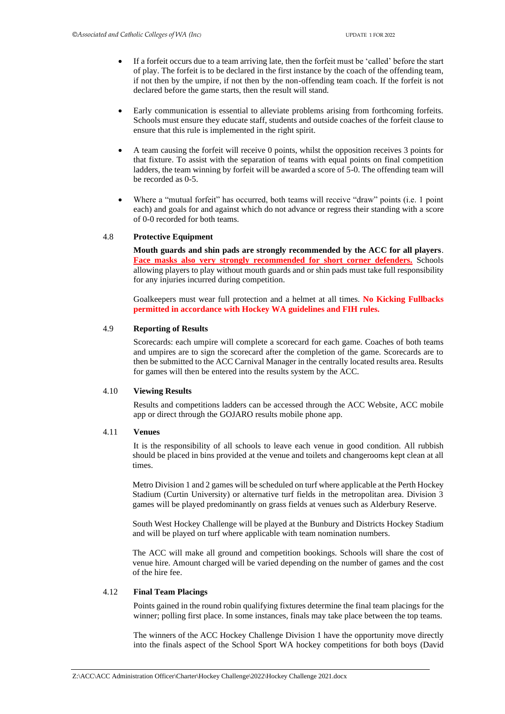- If a forfeit occurs due to a team arriving late, then the forfeit must be 'called' before the start of play. The forfeit is to be declared in the first instance by the coach of the offending team, if not then by the umpire, if not then by the non-offending team coach. If the forfeit is not declared before the game starts, then the result will stand.
- Early communication is essential to alleviate problems arising from forthcoming forfeits. Schools must ensure they educate staff, students and outside coaches of the forfeit clause to ensure that this rule is implemented in the right spirit.
- A team causing the forfeit will receive 0 points, whilst the opposition receives 3 points for that fixture. To assist with the separation of teams with equal points on final competition ladders, the team winning by forfeit will be awarded a score of 5-0. The offending team will be recorded as 0-5.
- Where a "mutual forfeit" has occurred, both teams will receive "draw" points (i.e. 1 point each) and goals for and against which do not advance or regress their standing with a score of 0-0 recorded for both teams.

#### 4.8 **Protective Equipment**

**Mouth guards and shin pads are strongly recommended by the ACC for all players**. **Face masks also very strongly recommended for short corner defenders.** Schools allowing players to play without mouth guards and or shin pads must take full responsibility for any injuries incurred during competition.

Goalkeepers must wear full protection and a helmet at all times. **No Kicking Fullbacks permitted in accordance with Hockey WA guidelines and FIH rules.** 

#### 4.9 **Reporting of Results**

Scorecards: each umpire will complete a scorecard for each game. Coaches of both teams and umpires are to sign the scorecard after the completion of the game. Scorecards are to then be submitted to the ACC Carnival Manager in the centrally located results area. Results for games will then be entered into the results system by the ACC.

#### 4.10 **Viewing Results**

Results and competitions ladders can be accessed through the ACC Website, ACC mobile app or direct through the GOJARO results mobile phone app.

#### 4.11 **Venues**

It is the responsibility of all schools to leave each venue in good condition. All rubbish should be placed in bins provided at the venue and toilets and changerooms kept clean at all times.

Metro Division 1 and 2 games will be scheduled on turf where applicable at the Perth Hockey Stadium (Curtin University) or alternative turf fields in the metropolitan area. Division 3 games will be played predominantly on grass fields at venues such as Alderbury Reserve.

South West Hockey Challenge will be played at the Bunbury and Districts Hockey Stadium and will be played on turf where applicable with team nomination numbers.

The ACC will make all ground and competition bookings. Schools will share the cost of venue hire. Amount charged will be varied depending on the number of games and the cost of the hire fee.

#### 4.12 **Final Team Placings**

Points gained in the round robin qualifying fixtures determine the final team placings for the winner; polling first place. In some instances, finals may take place between the top teams.

The winners of the ACC Hockey Challenge Division 1 have the opportunity move directly into the finals aspect of the School Sport WA hockey competitions for both boys (David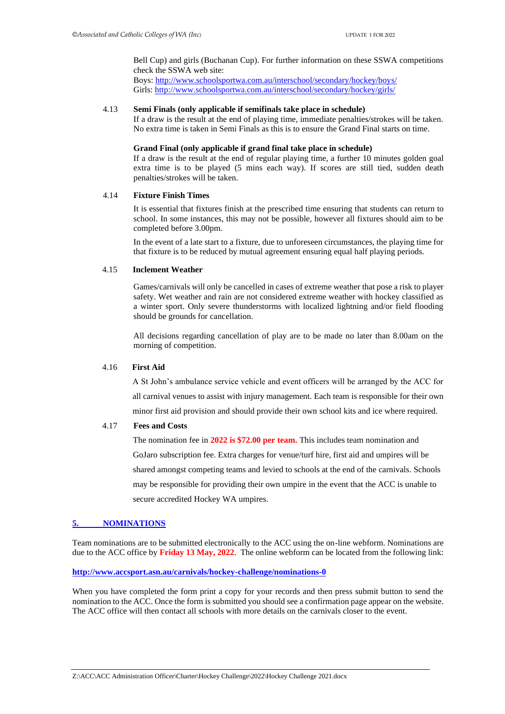Bell Cup) and girls (Buchanan Cup). For further information on these SSWA competitions check the SSWA web site:

Boys:<http://www.schoolsportwa.com.au/interschool/secondary/hockey/boys/> Girls:<http://www.schoolsportwa.com.au/interschool/secondary/hockey/girls/>

#### 4.13 **Semi Finals (only applicable if semifinals take place in schedule)**

If a draw is the result at the end of playing time, immediate penalties/strokes will be taken. No extra time is taken in Semi Finals as this is to ensure the Grand Final starts on time.

#### **Grand Final (only applicable if grand final take place in schedule)**

If a draw is the result at the end of regular playing time, a further 10 minutes golden goal extra time is to be played (5 mins each way). If scores are still tied, sudden death penalties/strokes will be taken.

#### 4.14 **Fixture Finish Times**

It is essential that fixtures finish at the prescribed time ensuring that students can return to school. In some instances, this may not be possible, however all fixtures should aim to be completed before 3.00pm.

In the event of a late start to a fixture, due to unforeseen circumstances, the playing time for that fixture is to be reduced by mutual agreement ensuring equal half playing periods.

#### 4.15 **Inclement Weather**

Games/carnivals will only be cancelled in cases of extreme weather that pose a risk to player safety. Wet weather and rain are not considered extreme weather with hockey classified as a winter sport. Only severe thunderstorms with localized lightning and/or field flooding should be grounds for cancellation.

All decisions regarding cancellation of play are to be made no later than 8.00am on the morning of competition.

#### 4.16 **First Aid**

A St John's ambulance service vehicle and event officers will be arranged by the ACC for all carnival venues to assist with injury management. Each team is responsible for their own minor first aid provision and should provide their own school kits and ice where required.

#### 4.17 **Fees and Costs**

The nomination fee in **2022 is \$72.00 per team.** This includes team nomination and GoJaro subscription fee. Extra charges for venue/turf hire, first aid and umpires will be shared amongst competing teams and levied to schools at the end of the carnivals. Schools may be responsible for providing their own umpire in the event that the ACC is unable to secure accredited Hockey WA umpires.

#### <span id="page-5-0"></span>5. **[NOMINATIONS](#page-1-0)**

Team nominations are to be submitted electronically to the ACC using the on-line webform. Nominations are due to the ACC office by **Friday 13 May, 2022**. The online webform can be located from the following link:

#### **<http://www.accsport.asn.au/carnivals/hockey-challenge/nominations-0>**

When you have completed the form print a copy for your records and then press submit button to send the nomination to the ACC. Once the form is submitted you should see a confirmation page appear on the website. The ACC office will then contact all schools with more details on the carnivals closer to the event.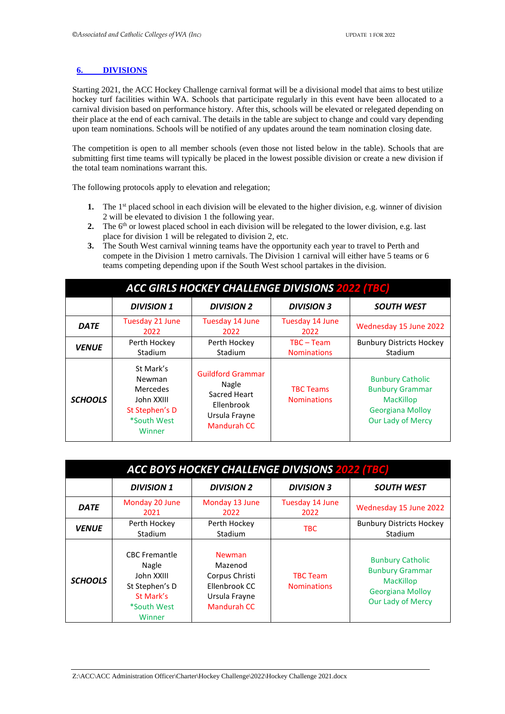#### **6. [DIVISIONS](#page-1-0)**

Starting 2021, the ACC Hockey Challenge carnival format will be a divisional model that aims to best utilize hockey turf facilities within WA. Schools that participate regularly in this event have been allocated to a carnival division based on performance history. After this, schools will be elevated or relegated depending on their place at the end of each carnival. The details in the table are subject to change and could vary depending upon team nominations. Schools will be notified of any updates around the team nomination closing date.

The competition is open to all member schools (even those not listed below in the table). Schools that are submitting first time teams will typically be placed in the lowest possible division or create a new division if the total team nominations warrant this.

The following protocols apply to elevation and relegation;

- **1.** The 1<sup>st</sup> placed school in each division will be elevated to the higher division, e.g. winner of division 2 will be elevated to division 1 the following year.
- **2.** The  $6<sup>th</sup>$  or lowest placed school in each division will be relegated to the lower division, e.g. last place for division 1 will be relegated to division 2, etc.
- **3.** The South West carnival winning teams have the opportunity each year to travel to Perth and compete in the Division 1 metro carnivals. The Division 1 carnival will either have 5 teams or 6 teams competing depending upon if the South West school partakes in the division.

| <b>ACC GIRLS HOCKEY CHALLENGE DIVISIONS 2022 (TBC)</b> |                                                                                                 |                                                                                                 |                                        |                                                                                                                       |  |  |  |
|--------------------------------------------------------|-------------------------------------------------------------------------------------------------|-------------------------------------------------------------------------------------------------|----------------------------------------|-----------------------------------------------------------------------------------------------------------------------|--|--|--|
|                                                        | <b>DIVISION 1</b>                                                                               | <b>DIVISION 2</b>                                                                               | <b>DIVISION 3</b>                      | <b>SOUTH WEST</b>                                                                                                     |  |  |  |
| <b>DATE</b>                                            | Tuesday 21 June<br>2022                                                                         | Tuesday 14 June<br>2022                                                                         | Tuesday 14 June<br>2022                | Wednesday 15 June 2022                                                                                                |  |  |  |
| <b>VENUE</b>                                           | Perth Hockey<br>Stadium                                                                         | Perth Hockey<br>Stadium                                                                         | $TBC - Team$<br><b>Nominations</b>     | <b>Bunbury Districts Hockey</b><br>Stadium                                                                            |  |  |  |
| <b>SCHOOLS</b>                                         | St Mark's<br>Newman<br><b>Mercedes</b><br>John XXIII<br>St Stephen's D<br>*South West<br>Winner | <b>Guildford Grammar</b><br>Nagle<br>Sacred Heart<br>Ellenbrook<br>Ursula Frayne<br>Mandurah CC | <b>TBC Teams</b><br><b>Nominations</b> | <b>Bunbury Catholic</b><br><b>Bunbury Grammar</b><br><b>MacKillop</b><br><b>Georgiana Molloy</b><br>Our Lady of Mercy |  |  |  |

| <b>ACC BOYS HOCKEY CHALLENGE DIVISIONS 2022 (TBC)</b>                            |                                                                                                     |                                                                                                    |                                            |                                                                                                                       |  |  |  |  |
|----------------------------------------------------------------------------------|-----------------------------------------------------------------------------------------------------|----------------------------------------------------------------------------------------------------|--------------------------------------------|-----------------------------------------------------------------------------------------------------------------------|--|--|--|--|
| <b>DIVISION 1</b><br><b>DIVISION 2</b><br><b>DIVISION 3</b><br><b>SOUTH WEST</b> |                                                                                                     |                                                                                                    |                                            |                                                                                                                       |  |  |  |  |
| <b>DATE</b>                                                                      | Monday 20 June<br>2021                                                                              | Monday 13 June<br>2022                                                                             | Tuesday 14 June<br>2022                    | Wednesday 15 June 2022                                                                                                |  |  |  |  |
| Perth Hockey<br>Perth Hockey<br><b>VENUE</b><br>Stadium<br>Stadium               |                                                                                                     | <b>TBC</b>                                                                                         | <b>Bunbury Districts Hockey</b><br>Stadium |                                                                                                                       |  |  |  |  |
| <b>SCHOOLS</b>                                                                   | <b>CBC Fremantle</b><br>Nagle<br>John XXIII<br>St Stephen's D<br>St Mark's<br>*South West<br>Winner | <b>Newman</b><br>Mazenod<br>Corpus Christi<br>Ellenbrook CC<br>Ursula Frayne<br><b>Mandurah CC</b> | <b>TBC Team</b><br><b>Nominations</b>      | <b>Bunbury Catholic</b><br><b>Bunbury Grammar</b><br><b>MacKillop</b><br><b>Georgiana Molloy</b><br>Our Lady of Mercy |  |  |  |  |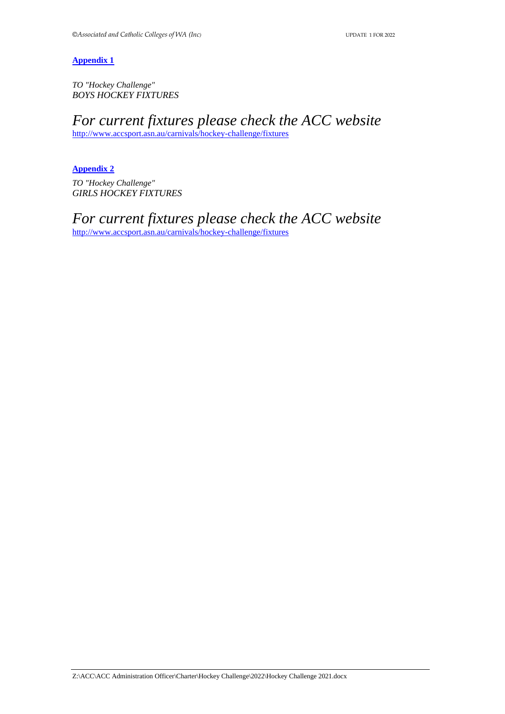*TO "Hockey Challenge" BOYS HOCKEY FIXTURES* 

*For current fixtures please check the ACC website* <http://www.accsport.asn.au/carnivals/hockey-challenge/fixtures>

<span id="page-7-0"></span>[Appendix 2](#page-1-0) *TO "Hockey Challenge" GIRLS HOCKEY FIXTURES* 

*For current fixtures please check the ACC website* <http://www.accsport.asn.au/carnivals/hockey-challenge/fixtures>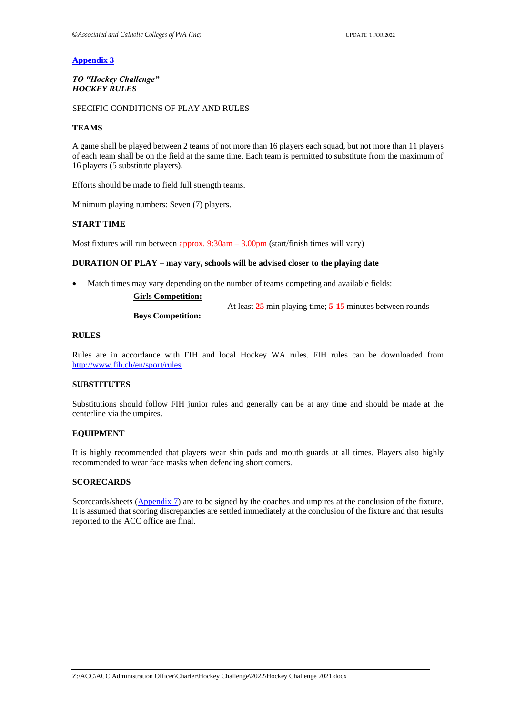#### *TO "Hockey Challenge" HOCKEY RULES*

#### SPECIFIC CONDITIONS OF PLAY AND RULES

#### **TEAMS**

A game shall be played between 2 teams of not more than 16 players each squad, but not more than 11 players of each team shall be on the field at the same time. Each team is permitted to substitute from the maximum of 16 players (5 substitute players).

Efforts should be made to field full strength teams.

Minimum playing numbers: Seven (7) players.

#### **START TIME**

Most fixtures will run between approx.  $9:30$ am  $-3.00$ pm (start/finish times will vary)

#### **DURATION OF PLAY – may vary, schools will be advised closer to the playing date**

Match times may vary depending on the number of teams competing and available fields:

#### **Girls Competition:**

At least **25** min playing time; **5-15** minutes between rounds

#### **Boys Competition:**

#### **RULES**

Rules are in accordance with FIH and local Hockey WA rules. FIH rules can be downloaded from <http://www.fih.ch/en/sport/rules>

#### **SUBSTITUTES**

Substitutions should follow FIH junior rules and generally can be at any time and should be made at the centerline via the umpires.

#### **EQUIPMENT**

It is highly recommended that players wear shin pads and mouth guards at all times. Players also highly recommended to wear face masks when defending short corners.

#### **SCORECARDS**

Scorecards/sheets (*[Appendix 7](#page-9-0)*) are to be signed by the coaches and umpires at the conclusion of the fixture. It is assumed that scoring discrepancies are settled immediately at the conclusion of the fixture and that results reported to the ACC office are final.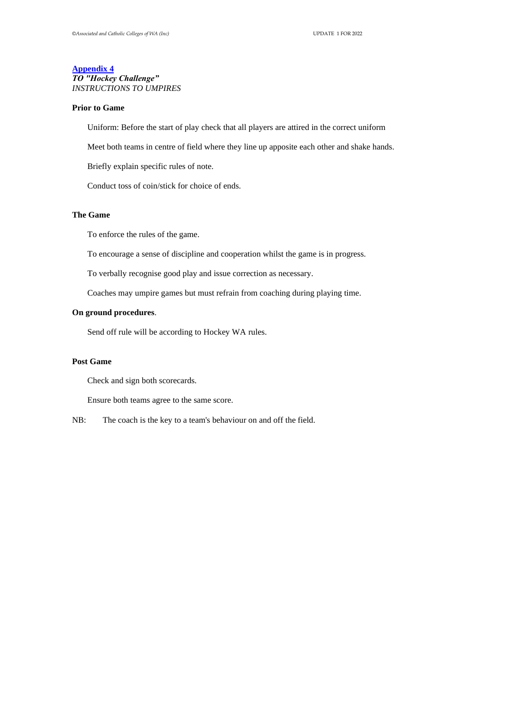#### **[Appendix 4](#page-1-1)** *TO "Hockey Challenge" INSTRUCTIONS TO UMPIRES*

#### **Prior to Game**

Uniform: Before the start of play check that all players are attired in the correct uniform

Meet both teams in centre of field where they line up apposite each other and shake hands.

Briefly explain specific rules of note.

Conduct toss of coin/stick for choice of ends.

#### *12B***The Game**

To enforce the rules of the game.

To encourage a sense of discipline and cooperation whilst the game is in progress.

To verbally recognise good play and issue correction as necessary.

Coaches may umpire games but must refrain from coaching during playing time.

#### **On ground procedures**.

Send off rule will be according to Hockey WA rules.

#### **Post Game**

Check and sign both scorecards.

Ensure both teams agree to the same score.

<span id="page-9-0"></span>NB: The coach is the key to a team's behaviour on and off the field.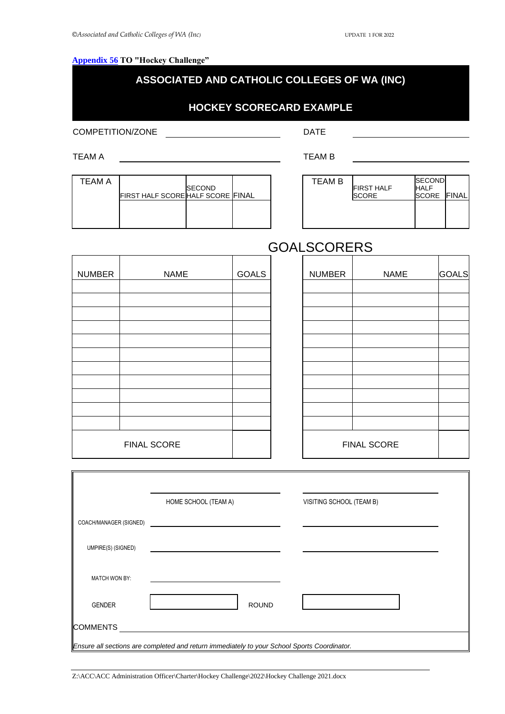#### **[Appendix 56](#page-1-1)** TO "Hockey Challenge"

#### **ASSOCIATED AND CATHOLIC COLLEGES OF WA (INC)**

#### **HOCKEY SCORECARD EXAMPLE**

COMPETITION/ZONE DATE

TEAM A TEAM B

 $\mathbb{F}$ 

| TEAM A | FIRST HALF SCORE HALF SCORE FINAL | <b>SECOND</b> |  |
|--------|-----------------------------------|---------------|--|
|        |                                   |               |  |

| <b>TEAM B</b> | <b>FIRST HALF</b><br><b>SCORE</b> | <b>SECOND</b><br><b>HALF</b><br><b>SCORE FINAL</b> |  |
|---------------|-----------------------------------|----------------------------------------------------|--|
|               |                                   |                                                    |  |

### **GOALSCORERS**

| <b>NUMBER</b> | <b>NAME</b> | <b>GOALS</b> | <b>NUMBER</b> | <b>NAME</b> | GOALS |
|---------------|-------------|--------------|---------------|-------------|-------|
|               |             |              |               |             |       |
|               |             |              |               |             |       |
|               |             |              |               |             |       |
|               |             |              |               |             |       |
|               |             |              |               |             |       |
|               |             |              |               |             |       |
|               |             |              |               |             |       |
|               |             |              |               |             |       |
|               |             |              |               |             |       |
|               |             |              |               |             |       |
|               |             |              |               |             |       |
| FINAL SCORE   |             |              |               | FINAL SCORE |       |

<span id="page-10-0"></span>

|                        | HOME SCHOOL (TEAM A)                                                                        |              | VISITING SCHOOL (TEAM B) |  |
|------------------------|---------------------------------------------------------------------------------------------|--------------|--------------------------|--|
| COACH/MANAGER (SIGNED) |                                                                                             |              |                          |  |
| UMPIRE(S) (SIGNED)     |                                                                                             |              |                          |  |
| <b>MATCH WON BY:</b>   |                                                                                             |              |                          |  |
| <b>GENDER</b>          |                                                                                             | <b>ROUND</b> |                          |  |
| <b>COMMENTS</b>        |                                                                                             |              |                          |  |
|                        | Ensure all sections are completed and return immediately to your School Sports Coordinator. |              |                          |  |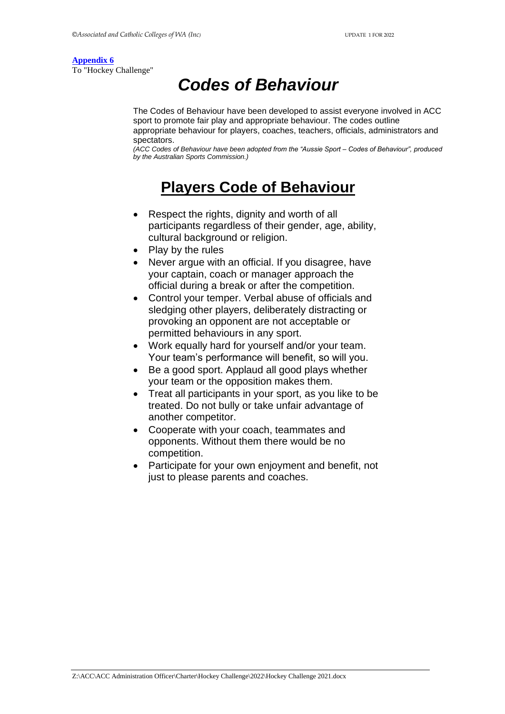To "Hockey Challenge"

# *Codes of Behaviour*

The Codes of Behaviour have been developed to assist everyone involved in ACC sport to promote fair play and appropriate behaviour. The codes outline appropriate behaviour for players, coaches, teachers, officials, administrators and spectators.

*(ACC Codes of Behaviour have been adopted from the "Aussie Sport – Codes of Behaviour", produced by the Australian Sports Commission.)*

# **Players Code of Behaviour**

- Respect the rights, dignity and worth of all participants regardless of their gender, age, ability, cultural background or religion.
- Play by the rules
- Never argue with an official. If you disagree, have your captain, coach or manager approach the official during a break or after the competition.
- Control your temper. Verbal abuse of officials and sledging other players, deliberately distracting or provoking an opponent are not acceptable or permitted behaviours in any sport.
- Work equally hard for yourself and/or your team. Your team's performance will benefit, so will you.
- Be a good sport. Applaud all good plays whether your team or the opposition makes them.
- Treat all participants in your sport, as you like to be treated. Do not bully or take unfair advantage of another competitor.
- Cooperate with your coach, teammates and opponents. Without them there would be no competition.
- Participate for your own enjoyment and benefit, not just to please parents and coaches.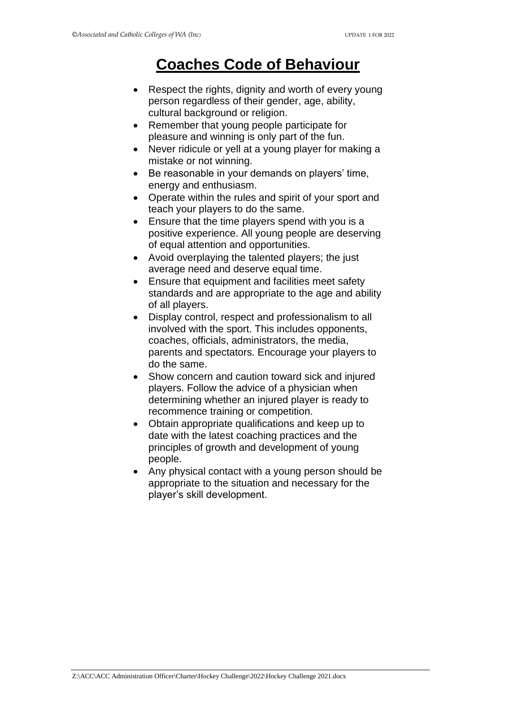# **Coaches Code of Behaviour**

- Respect the rights, dignity and worth of every young person regardless of their gender, age, ability, cultural background or religion.
- Remember that young people participate for pleasure and winning is only part of the fun.
- Never ridicule or yell at a young player for making a mistake or not winning.
- Be reasonable in your demands on players' time, energy and enthusiasm.
- Operate within the rules and spirit of your sport and teach your players to do the same.
- Ensure that the time players spend with you is a positive experience. All young people are deserving of equal attention and opportunities.
- Avoid overplaying the talented players; the just average need and deserve equal time.
- Ensure that equipment and facilities meet safety standards and are appropriate to the age and ability of all players.
- Display control, respect and professionalism to all involved with the sport. This includes opponents, coaches, officials, administrators, the media, parents and spectators. Encourage your players to do the same.
- Show concern and caution toward sick and injured players. Follow the advice of a physician when determining whether an injured player is ready to recommence training or competition.
- Obtain appropriate qualifications and keep up to date with the latest coaching practices and the principles of growth and development of young people.
- Any physical contact with a young person should be appropriate to the situation and necessary for the player's skill development.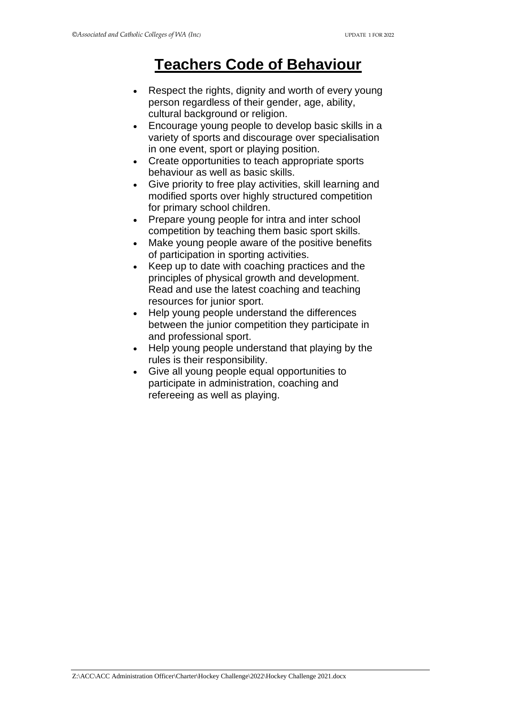# **Teachers Code of Behaviour**

- Respect the rights, dignity and worth of every young person regardless of their gender, age, ability, cultural background or religion.
- Encourage young people to develop basic skills in a variety of sports and discourage over specialisation in one event, sport or playing position.
- Create opportunities to teach appropriate sports behaviour as well as basic skills.
- Give priority to free play activities, skill learning and modified sports over highly structured competition for primary school children.
- Prepare young people for intra and inter school competition by teaching them basic sport skills.
- Make young people aware of the positive benefits of participation in sporting activities.
- Keep up to date with coaching practices and the principles of physical growth and development. Read and use the latest coaching and teaching resources for junior sport.
- Help young people understand the differences between the junior competition they participate in and professional sport.
- Help young people understand that playing by the rules is their responsibility.
- Give all young people equal opportunities to participate in administration, coaching and refereeing as well as playing.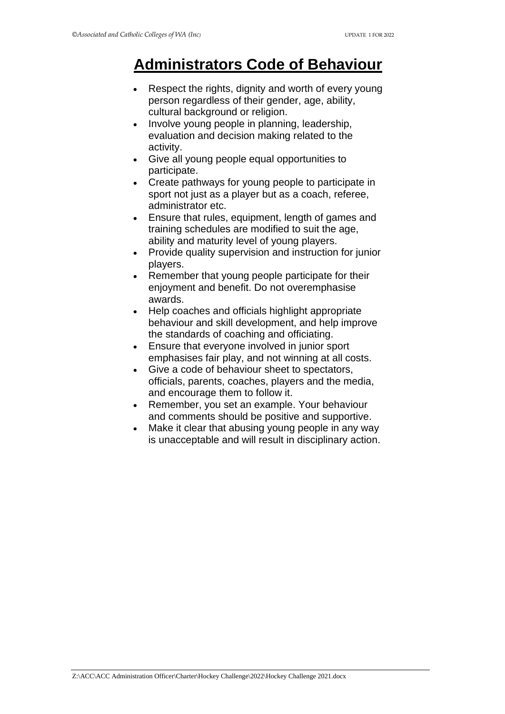# **Administrators Code of Behaviour**

- Respect the rights, dignity and worth of every young person regardless of their gender, age, ability, cultural background or religion.
- Involve young people in planning, leadership, evaluation and decision making related to the activity.
- Give all young people equal opportunities to participate.
- Create pathways for young people to participate in sport not just as a player but as a coach, referee, administrator etc.
- Ensure that rules, equipment, length of games and training schedules are modified to suit the age, ability and maturity level of young players.
- Provide quality supervision and instruction for junior players.
- Remember that young people participate for their enjoyment and benefit. Do not overemphasise awards.
- Help coaches and officials highlight appropriate behaviour and skill development, and help improve the standards of coaching and officiating.
- Ensure that everyone involved in junior sport emphasises fair play, and not winning at all costs.
- Give a code of behaviour sheet to spectators, officials, parents, coaches, players and the media, and encourage them to follow it.
- Remember, you set an example. Your behaviour and comments should be positive and supportive.
- Make it clear that abusing young people in any way is unacceptable and will result in disciplinary action.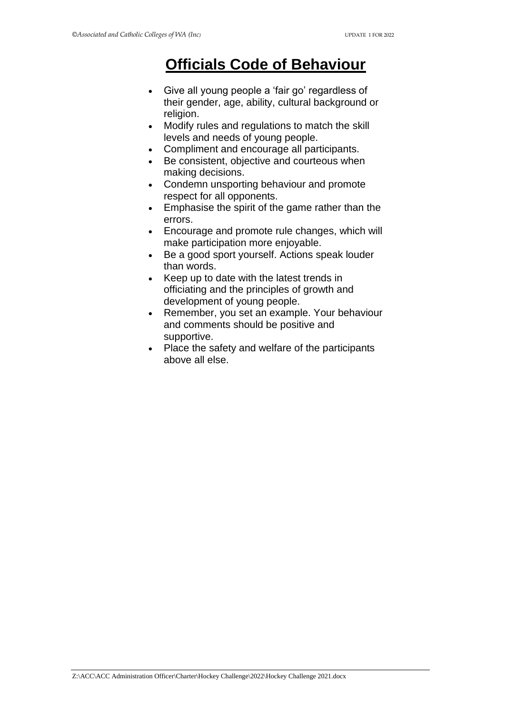# **Officials Code of Behaviour**

- Give all young people a 'fair go' regardless of their gender, age, ability, cultural background or religion.
- Modify rules and regulations to match the skill levels and needs of young people.
- Compliment and encourage all participants.
- Be consistent, objective and courteous when making decisions.
- Condemn unsporting behaviour and promote respect for all opponents.
- Emphasise the spirit of the game rather than the errors.
- Encourage and promote rule changes, which will make participation more enjoyable.
- Be a good sport yourself. Actions speak louder than words.
- Keep up to date with the latest trends in officiating and the principles of growth and development of young people.
- Remember, you set an example. Your behaviour and comments should be positive and supportive.
- Place the safety and welfare of the participants above all else.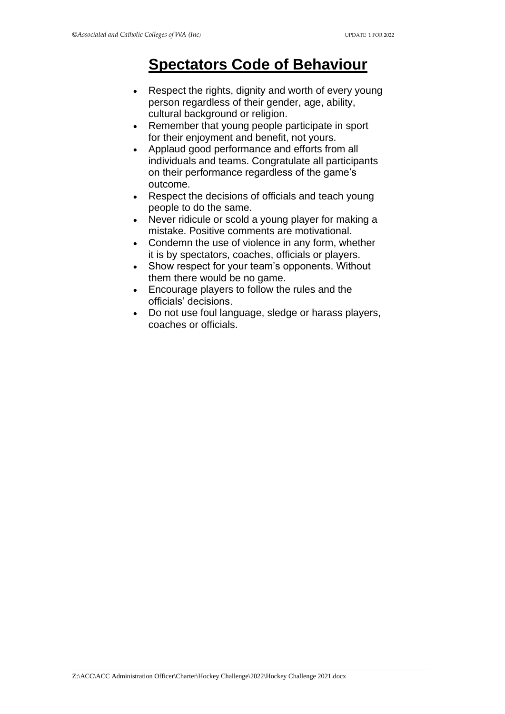# **Spectators Code of Behaviour**

- Respect the rights, dignity and worth of every young person regardless of their gender, age, ability, cultural background or religion.
- Remember that young people participate in sport for their enjoyment and benefit, not yours.
- Applaud good performance and efforts from all individuals and teams. Congratulate all participants on their performance regardless of the game's outcome.
- Respect the decisions of officials and teach young people to do the same.
- Never ridicule or scold a young player for making a mistake. Positive comments are motivational.
- Condemn the use of violence in any form, whether it is by spectators, coaches, officials or players.
- Show respect for your team's opponents. Without them there would be no game.
- Encourage players to follow the rules and the officials' decisions.
- Do not use foul language, sledge or harass players, coaches or officials.